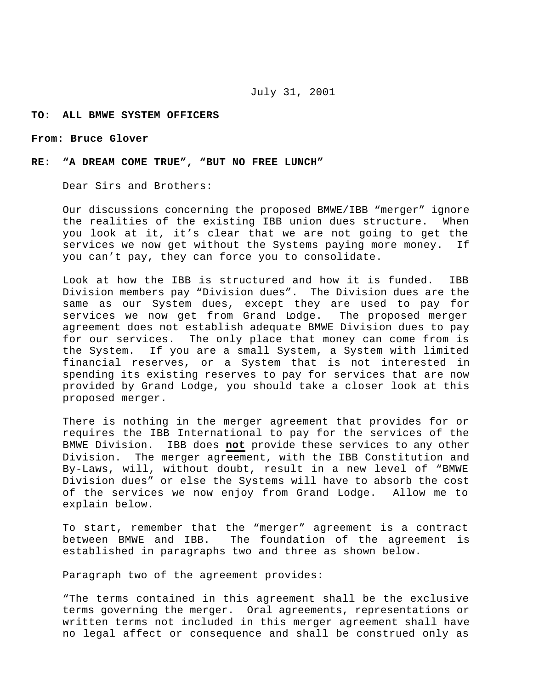## **TO: ALL BMWE SYSTEM OFFICERS**

## **From: Bruce Glover**

## **RE: "A DREAM COME TRUE", "BUT NO FREE LUNCH"**

Dear Sirs and Brothers:

Our discussions concerning the proposed BMWE/IBB "merger" ignore the realities of the existing IBB union dues structure. When you look at it, it's clear that we are not going to get the services we now get without the Systems paying more money. If you can't pay, they can force you to consolidate.

Look at how the IBB is structured and how it is funded. IBB Division members pay "Division dues". The Division dues are the same as our System dues, except they are used to pay for services we now get from Grand Lodge. The proposed merger agreement does not establish adequate BMWE Division dues to pay for our services. The only place that money can come from is the System. If you are a small System, a System with limited financial reserves, or a System that is not interested in spending its existing reserves to pay for services that are now provided by Grand Lodge, you should take a closer look at this proposed merger.

There is nothing in the merger agreement that provides for or requires the IBB International to pay for the services of the BMWE Division. IBB does **not** provide these services to any other Division. The merger agreement, with the IBB Constitution and By-Laws, will, without doubt, result in a new level of "BMWE Division dues" or else the Systems will have to absorb the cost of the services we now enjoy from Grand Lodge. Allow me to explain below.

To start, remember that the "merger" agreement is a contract between BMWE and IBB. The foundation of the agreement is established in paragraphs two and three as shown below.

Paragraph two of the agreement provides:

"The terms contained in this agreement shall be the exclusive terms governing the merger. Oral agreements, representations or written terms not included in this merger agreement shall have no legal affect or consequence and shall be construed only as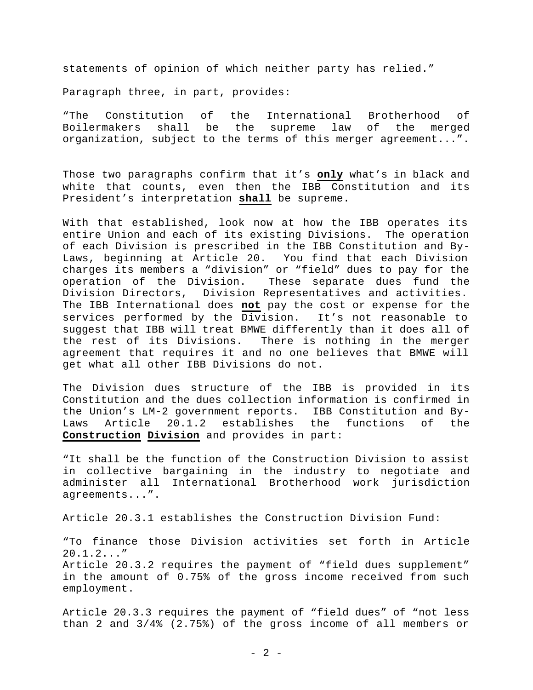statements of opinion of which neither party has relied."

Paragraph three, in part, provides:

"The Constitution of the International Brotherhood of Boilermakers shall be the supreme law of the merged organization, subject to the terms of this merger agreement...".

Those two paragraphs confirm that it's **only** what's in black and white that counts, even then the IBB Constitution and its President's interpretation **shall** be supreme.

With that established, look now at how the IBB operates its entire Union and each of its existing Divisions. The operation of each Division is prescribed in the IBB Constitution and By-Laws, beginning at Article 20. You find that each Division charges its members a "division" or "field" dues to pay for the operation of the Division. These separate dues fund the Division Directors, Division Representatives and activities. The IBB International does **not** pay the cost or expense for the services performed by the Division. It's not reasonable to suggest that IBB will treat BMWE differently than it does all of the rest of its Divisions. There is nothing in the merger agreement that requires it and no one believes that BMWE will get what all other IBB Divisions do not.

The Division dues structure of the IBB is provided in its Constitution and the dues collection information is confirmed in the Union's LM-2 government reports. IBB Constitution and By-Laws Article 20.1.2 establishes the functions of the **Construction Division** and provides in part:

"It shall be the function of the Construction Division to assist in collective bargaining in the industry to negotiate and administer all International Brotherhood work jurisdiction agreements...".

Article 20.3.1 establishes the Construction Division Fund:

"To finance those Division activities set forth in Article 20.1.2..." Article 20.3.2 requires the payment of "field dues supplement" in the amount of 0.75% of the gross income received from such employment.

Article 20.3.3 requires the payment of "field dues" of "not less than 2 and 3/4% (2.75%) of the gross income of all members or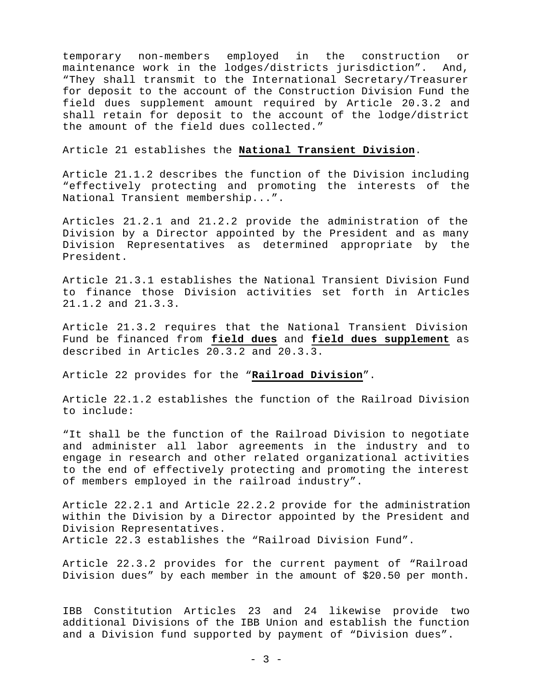temporary non-members employed in the construction or maintenance work in the lodges/districts jurisdiction". And, "They shall transmit to the International Secretary/Treasurer for deposit to the account of the Construction Division Fund the field dues supplement amount required by Article 20.3.2 and shall retain for deposit to the account of the lodge/district the amount of the field dues collected."

Article 21 establishes the **National Transient Division**.

Article 21.1.2 describes the function of the Division including "effectively protecting and promoting the interests of the National Transient membership...".

Articles 21.2.1 and 21.2.2 provide the administration of the Division by a Director appointed by the President and as many Division Representatives as determined appropriate by the President.

Article 21.3.1 establishes the National Transient Division Fund to finance those Division activities set forth in Articles 21.1.2 and 21.3.3.

Article 21.3.2 requires that the National Transient Division Fund be financed from **field dues** and **field dues supplement** as described in Articles 20.3.2 and 20.3.3.

Article 22 provides for the "**Railroad Division**".

Article 22.1.2 establishes the function of the Railroad Division to include:

"It shall be the function of the Railroad Division to negotiate and administer all labor agreements in the industry and to engage in research and other related organizational activities to the end of effectively protecting and promoting the interest of members employed in the railroad industry".

Article 22.2.1 and Article 22.2.2 provide for the administration within the Division by a Director appointed by the President and Division Representatives. Article 22.3 establishes the "Railroad Division Fund".

Article 22.3.2 provides for the current payment of "Railroad Division dues" by each member in the amount of \$20.50 per month.

IBB Constitution Articles 23 and 24 likewise provide two additional Divisions of the IBB Union and establish the function and a Division fund supported by payment of "Division dues".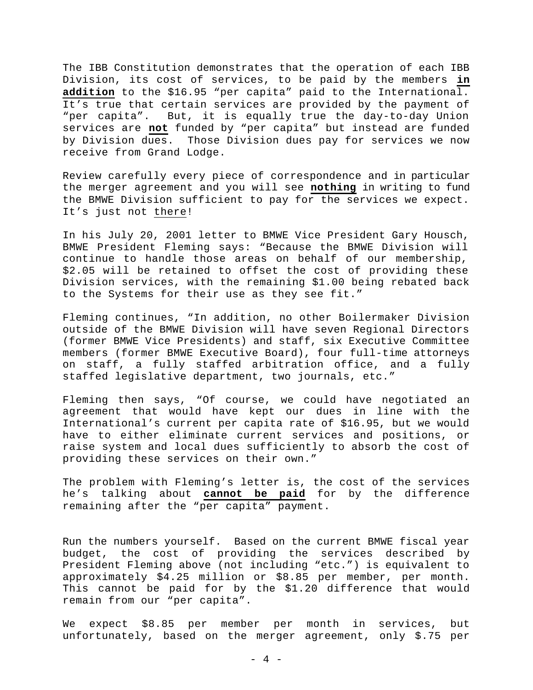The IBB Constitution demonstrates that the operation of each IBB Division, its cost of services, to be paid by the members **in addition** to the \$16.95 "per capita" paid to the International. It's true that certain services are provided by the payment of "per capita". But, it is equally true the day-to-day Union services are **not** funded by "per capita" but instead are funded by Division dues. Those Division dues pay for services we now receive from Grand Lodge.

Review carefully every piece of correspondence and in particular the merger agreement and you will see **nothing** in writing to fund the BMWE Division sufficient to pay for the services we expect. It's just not there!

In his July 20, 2001 letter to BMWE Vice President Gary Housch, BMWE President Fleming says: "Because the BMWE Division will continue to handle those areas on behalf of our membership, \$2.05 will be retained to offset the cost of providing these Division services, with the remaining \$1.00 being rebated back to the Systems for their use as they see fit."

Fleming continues, "In addition, no other Boilermaker Division outside of the BMWE Division will have seven Regional Directors (former BMWE Vice Presidents) and staff, six Executive Committee members (former BMWE Executive Board), four full-time attorneys on staff, a fully staffed arbitration office, and a fully staffed legislative department, two journals, etc."

Fleming then says, "Of course, we could have negotiated an agreement that would have kept our dues in line with the International's current per capita rate of \$16.95, but we would have to either eliminate current services and positions, or raise system and local dues sufficiently to absorb the cost of providing these services on their own."

The problem with Fleming's letter is, the cost of the services he's talking about **cannot be paid** for by the difference remaining after the "per capita" payment.

Run the numbers yourself. Based on the current BMWE fiscal year budget, the cost of providing the services described by President Fleming above (not including "etc.") is equivalent to approximately \$4.25 million or \$8.85 per member, per month. This cannot be paid for by the \$1.20 difference that would remain from our "per capita".

We expect \$8.85 per member per month in services, but unfortunately, based on the merger agreement, only \$.75 per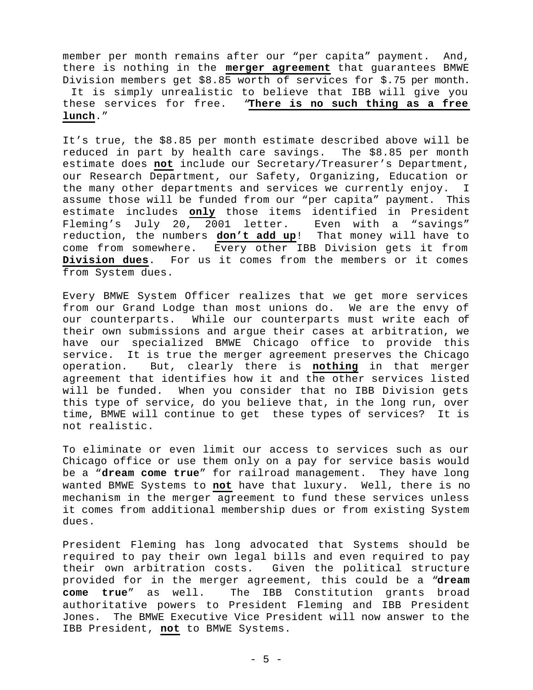member per month remains after our "per capita" payment. And, there is nothing in the **merger agreement** that guarantees BMWE Division members get \$8.85 worth of services for \$.75 per month. It is simply unrealistic to believe that IBB will give you these services for free. "**There is no such thing as a free lunch**."

It's true, the \$8.85 per month estimate described above will be reduced in part by health care savings. The \$8.85 per month estimate does **not** include our Secretary/Treasurer's Department, our Research Department, our Safety, Organizing, Education or the many other departments and services we currently enjoy. I assume those will be funded from our "per capita" payment. This estimate includes **only** those items identified in President Fleming's July 20, 2001 letter. Even with a "savings" reduction, the numbers **don't add up**! That money will have to come from somewhere. Every other IBB Division gets it from **Division dues**. For us it comes from the members or it comes from System dues.

Every BMWE System Officer realizes that we get more services from our Grand Lodge than most unions do. We are the envy of our counterparts. While our counterparts must write each of their own submissions and argue their cases at arbitration, we have our specialized BMWE Chicago office to provide this service. It is true the merger agreement preserves the Chicago operation. But, clearly there is **nothing** in that merger agreement that identifies how it and the other services listed will be funded. When you consider that no IBB Division gets this type of service, do you believe that, in the long run, over time, BMWE will continue to get these types of services? It is not realistic.

To eliminate or even limit our access to services such as our Chicago office or use them only on a pay for service basis would be a "**dream come true**" for railroad management. They have long wanted BMWE Systems to **not** have that luxury. Well, there is no mechanism in the merger agreement to fund these services unless it comes from additional membership dues or from existing System dues.

President Fleming has long advocated that Systems should be required to pay their own legal bills and even required to pay their own arbitration costs. Given the political structure provided for in the merger agreement, this could be a "**dream come true**" as well. The IBB Constitution grants broad authoritative powers to President Fleming and IBB President Jones. The BMWE Executive Vice President will now answer to the IBB President, **not** to BMWE Systems.